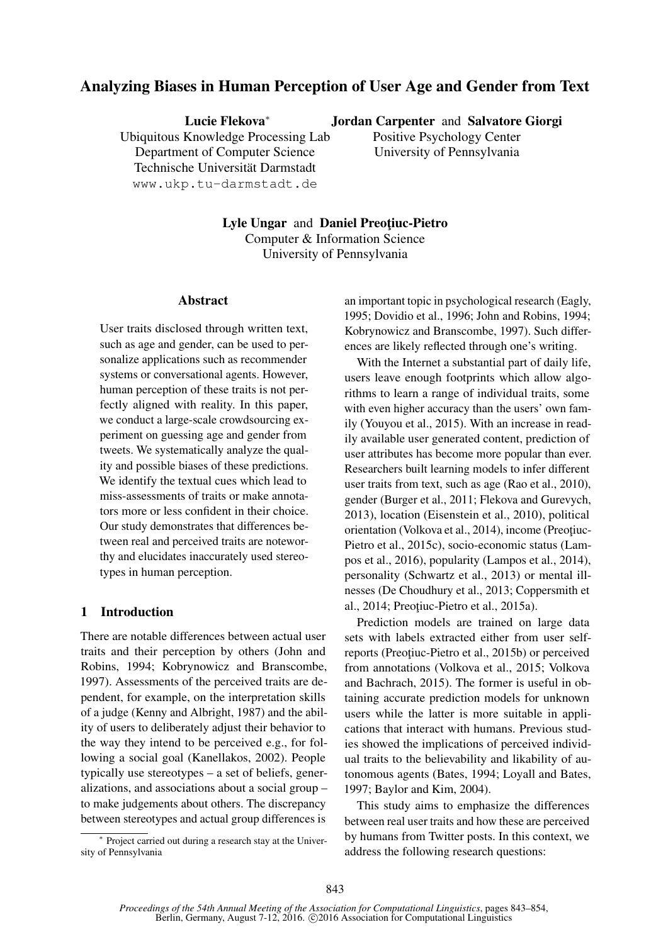# Analyzing Biases in Human Perception of User Age and Gender from Text

Lucie Flekova<sup>∗</sup>

Jordan Carpenter and Salvatore Giorgi

Ubiquitous Knowledge Processing Lab Department of Computer Science Technische Universität Darmstadt www.ukp.tu-darmstadt.de

Positive Psychology Center University of Pennsylvania

Lyle Ungar and Daniel Preotiuc-Pietro Computer & Information Science University of Pennsylvania

#### Abstract

User traits disclosed through written text, such as age and gender, can be used to personalize applications such as recommender systems or conversational agents. However, human perception of these traits is not perfectly aligned with reality. In this paper, we conduct a large-scale crowdsourcing experiment on guessing age and gender from tweets. We systematically analyze the quality and possible biases of these predictions. We identify the textual cues which lead to miss-assessments of traits or make annotators more or less confident in their choice. Our study demonstrates that differences between real and perceived traits are noteworthy and elucidates inaccurately used stereotypes in human perception.

## 1 Introduction

There are notable differences between actual user traits and their perception by others (John and Robins, 1994; Kobrynowicz and Branscombe, 1997). Assessments of the perceived traits are dependent, for example, on the interpretation skills of a judge (Kenny and Albright, 1987) and the ability of users to deliberately adjust their behavior to the way they intend to be perceived e.g., for following a social goal (Kanellakos, 2002). People typically use stereotypes – a set of beliefs, generalizations, and associations about a social group – to make judgements about others. The discrepancy between stereotypes and actual group differences is

∗ Project carried out during a research stay at the University of Pennsylvania

an important topic in psychological research (Eagly, 1995; Dovidio et al., 1996; John and Robins, 1994; Kobrynowicz and Branscombe, 1997). Such differences are likely reflected through one's writing.

With the Internet a substantial part of daily life, users leave enough footprints which allow algorithms to learn a range of individual traits, some with even higher accuracy than the users' own family (Youyou et al., 2015). With an increase in readily available user generated content, prediction of user attributes has become more popular than ever. Researchers built learning models to infer different user traits from text, such as age (Rao et al., 2010), gender (Burger et al., 2011; Flekova and Gurevych, 2013), location (Eisenstein et al., 2010), political orientation (Volkova et al., 2014), income (Preoțiuc-Pietro et al., 2015c), socio-economic status (Lampos et al., 2016), popularity (Lampos et al., 2014), personality (Schwartz et al., 2013) or mental illnesses (De Choudhury et al., 2013; Coppersmith et al., 2014; Preoțiuc-Pietro et al., 2015a).

Prediction models are trained on large data sets with labels extracted either from user selfreports (Preotiuc-Pietro et al., 2015b) or perceived from annotations (Volkova et al., 2015; Volkova and Bachrach, 2015). The former is useful in obtaining accurate prediction models for unknown users while the latter is more suitable in applications that interact with humans. Previous studies showed the implications of perceived individual traits to the believability and likability of autonomous agents (Bates, 1994; Loyall and Bates, 1997; Baylor and Kim, 2004).

This study aims to emphasize the differences between real user traits and how these are perceived by humans from Twitter posts. In this context, we address the following research questions: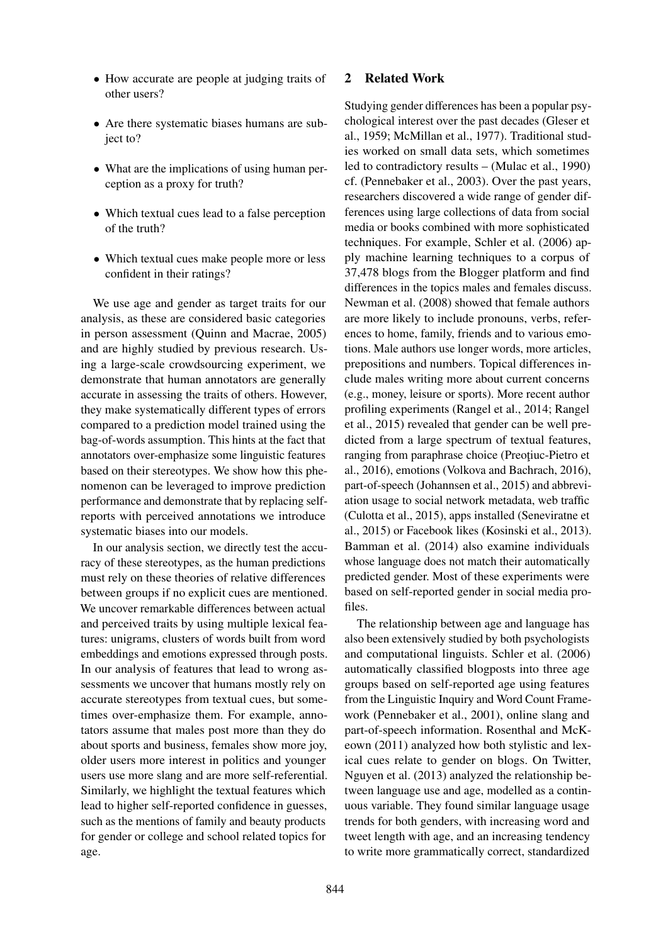- How accurate are people at judging traits of other users?
- Are there systematic biases humans are subject to?
- What are the implications of using human perception as a proxy for truth?
- Which textual cues lead to a false perception of the truth?
- Which textual cues make people more or less confident in their ratings?

We use age and gender as target traits for our analysis, as these are considered basic categories in person assessment (Quinn and Macrae, 2005) and are highly studied by previous research. Using a large-scale crowdsourcing experiment, we demonstrate that human annotators are generally accurate in assessing the traits of others. However, they make systematically different types of errors compared to a prediction model trained using the bag-of-words assumption. This hints at the fact that annotators over-emphasize some linguistic features based on their stereotypes. We show how this phenomenon can be leveraged to improve prediction performance and demonstrate that by replacing selfreports with perceived annotations we introduce systematic biases into our models.

In our analysis section, we directly test the accuracy of these stereotypes, as the human predictions must rely on these theories of relative differences between groups if no explicit cues are mentioned. We uncover remarkable differences between actual and perceived traits by using multiple lexical features: unigrams, clusters of words built from word embeddings and emotions expressed through posts. In our analysis of features that lead to wrong assessments we uncover that humans mostly rely on accurate stereotypes from textual cues, but sometimes over-emphasize them. For example, annotators assume that males post more than they do about sports and business, females show more joy, older users more interest in politics and younger users use more slang and are more self-referential. Similarly, we highlight the textual features which lead to higher self-reported confidence in guesses, such as the mentions of family and beauty products for gender or college and school related topics for age.

#### 2 Related Work

Studying gender differences has been a popular psychological interest over the past decades (Gleser et al., 1959; McMillan et al., 1977). Traditional studies worked on small data sets, which sometimes led to contradictory results – (Mulac et al., 1990) cf. (Pennebaker et al., 2003). Over the past years, researchers discovered a wide range of gender differences using large collections of data from social media or books combined with more sophisticated techniques. For example, Schler et al. (2006) apply machine learning techniques to a corpus of 37,478 blogs from the Blogger platform and find differences in the topics males and females discuss. Newman et al. (2008) showed that female authors are more likely to include pronouns, verbs, references to home, family, friends and to various emotions. Male authors use longer words, more articles, prepositions and numbers. Topical differences include males writing more about current concerns (e.g., money, leisure or sports). More recent author profiling experiments (Rangel et al., 2014; Rangel et al., 2015) revealed that gender can be well predicted from a large spectrum of textual features, ranging from paraphrase choice (Preotiuc-Pietro et al., 2016), emotions (Volkova and Bachrach, 2016), part-of-speech (Johannsen et al., 2015) and abbreviation usage to social network metadata, web traffic (Culotta et al., 2015), apps installed (Seneviratne et al., 2015) or Facebook likes (Kosinski et al., 2013). Bamman et al. (2014) also examine individuals whose language does not match their automatically predicted gender. Most of these experiments were based on self-reported gender in social media profiles.

The relationship between age and language has also been extensively studied by both psychologists and computational linguists. Schler et al. (2006) automatically classified blogposts into three age groups based on self-reported age using features from the Linguistic Inquiry and Word Count Framework (Pennebaker et al., 2001), online slang and part-of-speech information. Rosenthal and McKeown (2011) analyzed how both stylistic and lexical cues relate to gender on blogs. On Twitter, Nguyen et al. (2013) analyzed the relationship between language use and age, modelled as a continuous variable. They found similar language usage trends for both genders, with increasing word and tweet length with age, and an increasing tendency to write more grammatically correct, standardized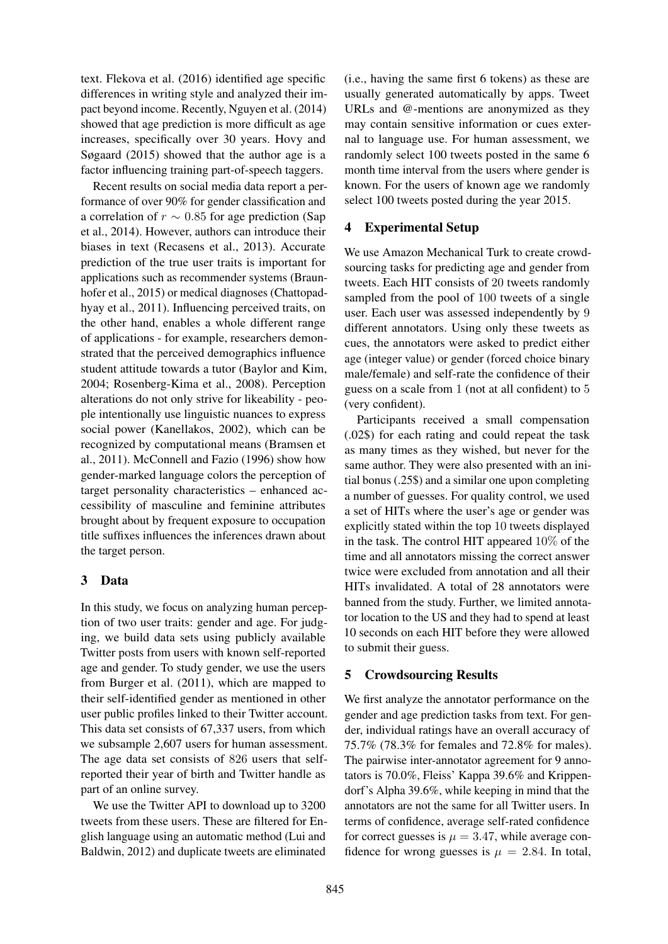text. Flekova et al. (2016) identified age specific differences in writing style and analyzed their impact beyond income. Recently, Nguyen et al. (2014) showed that age prediction is more difficult as age increases, specifically over 30 years. Hovy and Søgaard (2015) showed that the author age is a factor influencing training part-of-speech taggers.

Recent results on social media data report a performance of over 90% for gender classification and a correlation of  $r \sim 0.85$  for age prediction (Sap et al., 2014). However, authors can introduce their biases in text (Recasens et al., 2013). Accurate prediction of the true user traits is important for applications such as recommender systems (Braunhofer et al., 2015) or medical diagnoses (Chattopadhyay et al., 2011). Influencing perceived traits, on the other hand, enables a whole different range of applications - for example, researchers demonstrated that the perceived demographics influence student attitude towards a tutor (Baylor and Kim, 2004; Rosenberg-Kima et al., 2008). Perception alterations do not only strive for likeability - people intentionally use linguistic nuances to express social power (Kanellakos, 2002), which can be recognized by computational means (Bramsen et al., 2011). McConnell and Fazio (1996) show how gender-marked language colors the perception of target personality characteristics – enhanced accessibility of masculine and feminine attributes brought about by frequent exposure to occupation title suffixes influences the inferences drawn about the target person.

## 3 Data

In this study, we focus on analyzing human perception of two user traits: gender and age. For judging, we build data sets using publicly available Twitter posts from users with known self-reported age and gender. To study gender, we use the users from Burger et al. (2011), which are mapped to their self-identified gender as mentioned in other user public profiles linked to their Twitter account. This data set consists of 67,337 users, from which we subsample 2,607 users for human assessment. The age data set consists of 826 users that selfreported their year of birth and Twitter handle as part of an online survey.

We use the Twitter API to download up to 3200 tweets from these users. These are filtered for English language using an automatic method (Lui and Baldwin, 2012) and duplicate tweets are eliminated (i.e., having the same first 6 tokens) as these are usually generated automatically by apps. Tweet URLs and @-mentions are anonymized as they may contain sensitive information or cues external to language use. For human assessment, we randomly select 100 tweets posted in the same 6 month time interval from the users where gender is known. For the users of known age we randomly select 100 tweets posted during the year 2015.

## 4 Experimental Setup

We use Amazon Mechanical Turk to create crowdsourcing tasks for predicting age and gender from tweets. Each HIT consists of 20 tweets randomly sampled from the pool of 100 tweets of a single user. Each user was assessed independently by 9 different annotators. Using only these tweets as cues, the annotators were asked to predict either age (integer value) or gender (forced choice binary male/female) and self-rate the confidence of their guess on a scale from 1 (not at all confident) to 5 (very confident).

Participants received a small compensation (.02\$) for each rating and could repeat the task as many times as they wished, but never for the same author. They were also presented with an initial bonus (.25\$) and a similar one upon completing a number of guesses. For quality control, we used a set of HITs where the user's age or gender was explicitly stated within the top 10 tweets displayed in the task. The control HIT appeared 10% of the time and all annotators missing the correct answer twice were excluded from annotation and all their HITs invalidated. A total of 28 annotators were banned from the study. Further, we limited annotator location to the US and they had to spend at least 10 seconds on each HIT before they were allowed to submit their guess.

## 5 Crowdsourcing Results

We first analyze the annotator performance on the gender and age prediction tasks from text. For gender, individual ratings have an overall accuracy of 75.7% (78.3% for females and 72.8% for males). The pairwise inter-annotator agreement for 9 annotators is 70.0%, Fleiss' Kappa 39.6% and Krippendorf's Alpha 39.6%, while keeping in mind that the annotators are not the same for all Twitter users. In terms of confidence, average self-rated confidence for correct guesses is  $\mu = 3.47$ , while average confidence for wrong guesses is  $\mu = 2.84$ . In total,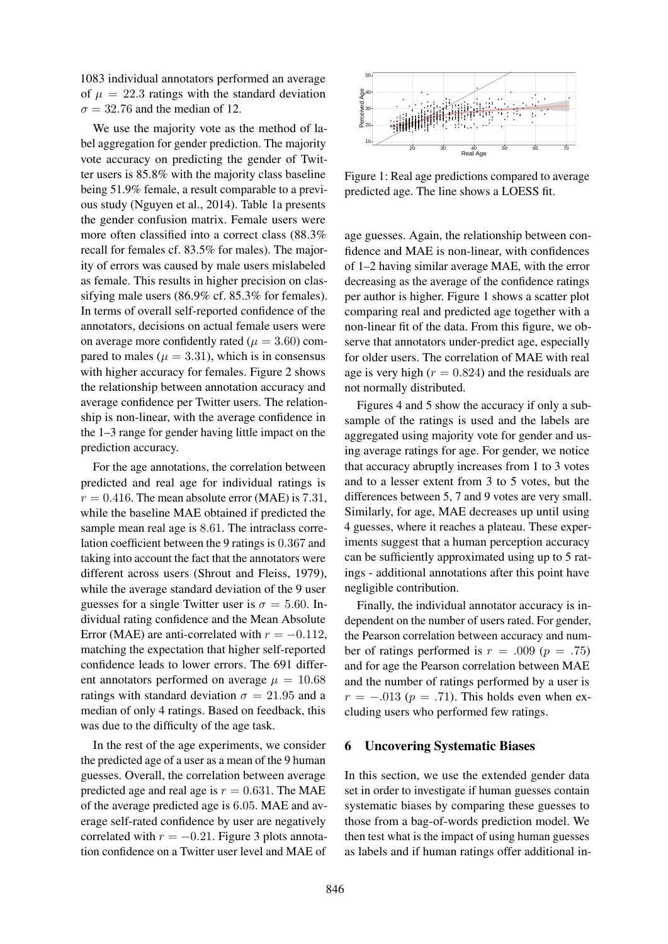1083 individual annotators performed an average of  $\mu = 22.3$  ratings with the standard deviation  $\sigma = 32.76$  and the median of 12.

We use the majority vote as the method of label aggregation for gender prediction. The majority vote accuracy on predicting the gender of Twitter users is 85.8% with the majority class baseline being 51.9% female, a result comparable to a previous study (Nguyen et al., 2014). Table 1a presents the gender confusion matrix. Female users were more often classified into a correct class (88.3% recall for females cf. 83.5% for males). The majority of errors was caused by male users mislabeled as female. This results in higher precision on classifying male users (86.9% cf. 85.3% for females). In terms of overall self-reported confidence of the annotators, decisions on actual female users were on average more confidently rated ( $\mu = 3.60$ ) compared to males ( $\mu = 3.31$ ), which is in consensus with higher accuracy for females. Figure 2 shows the relationship between annotation accuracy and average confidence per Twitter users. The relationship is non-linear, with the average confidence in the 1–3 range for gender having little impact on the prediction accuracy.

For the age annotations, the correlation between predicted and real age for individual ratings is  $r = 0.416$ . The mean absolute error (MAE) is 7.31, while the baseline MAE obtained if predicted the sample mean real age is 8.61. The intraclass correlation coefficient between the 9 ratings is 0.367 and taking into account the fact that the annotators were different across users (Shrout and Fleiss, 1979), while the average standard deviation of the 9 user guesses for a single Twitter user is  $\sigma = 5.60$ . Individual rating confidence and the Mean Absolute Error (MAE) are anti-correlated with  $r = -0.112$ . matching the expectation that higher self-reported confidence leads to lower errors. The 691 different annotators performed on average  $\mu = 10.68$ ratings with standard deviation  $\sigma = 21.95$  and a median of only 4 ratings. Based on feedback, this was due to the difficulty of the age task.

In the rest of the age experiments, we consider the predicted age of a user as a mean of the 9 human guesses. Overall, the correlation between average predicted age and real age is  $r = 0.631$ . The MAE of the average predicted age is 6.05. MAE and average self-rated confidence by user are negatively correlated with  $r = -0.21$ . Figure 3 plots annotation confidence on a Twitter user level and MAE of



Figure 1: Real age predictions compared to average predicted age. The line shows a LOESS fit.

age guesses. Again, the relationship between confidence and MAE is non-linear, with confidences of 1–2 having similar average MAE, with the error decreasing as the average of the confidence ratings per author is higher. Figure 1 shows a scatter plot comparing real and predicted age together with a non-linear fit of the data. From this figure, we observe that annotators under-predict age, especially for older users. The correlation of MAE with real age is very high ( $r = 0.824$ ) and the residuals are not normally distributed.

Figures 4 and 5 show the accuracy if only a subsample of the ratings is used and the labels are aggregated using majority vote for gender and using average ratings for age. For gender, we notice that accuracy abruptly increases from 1 to 3 votes and to a lesser extent from 3 to 5 votes, but the differences between 5, 7 and 9 votes are very small. Similarly, for age, MAE decreases up until using 4 guesses, where it reaches a plateau. These experiments suggest that a human perception accuracy can be sufficiently approximated using up to 5 ratings - additional annotations after this point have negligible contribution.

Finally, the individual annotator accuracy is independent on the number of users rated. For gender, the Pearson correlation between accuracy and number of ratings performed is  $r = .009$  ( $p = .75$ ) and for age the Pearson correlation between MAE and the number of ratings performed by a user is  $r = -.013$  ( $p = .71$ ). This holds even when excluding users who performed few ratings.

#### 6 Uncovering Systematic Biases

In this section, we use the extended gender data set in order to investigate if human guesses contain systematic biases by comparing these guesses to those from a bag-of-words prediction model. We then test what is the impact of using human guesses as labels and if human ratings offer additional in-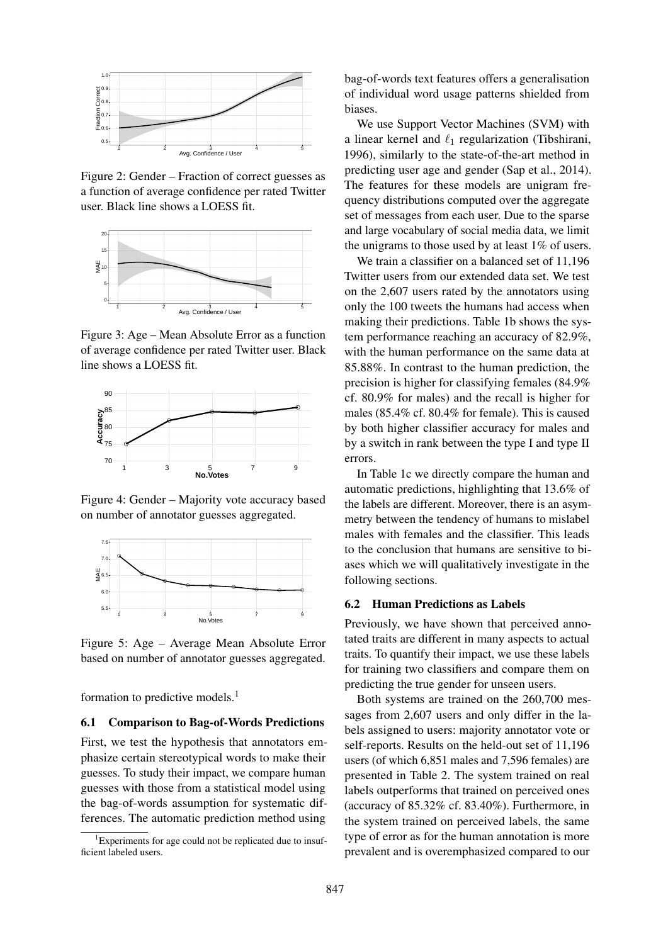

Figure 2: Gender – Fraction of correct guesses as a function of average confidence per rated Twitter user. Black line shows a LOESS fit.



Figure 3: Age – Mean Absolute Error as a function of average confidence per rated Twitter user. Black line shows a LOESS fit.



Figure 4: Gender – Majority vote accuracy based on number of annotator guesses aggregated.



Figure 5: Age – Average Mean Absolute Error based on number of annotator guesses aggregated.

formation to predictive models.<sup>1</sup>

#### 6.1 Comparison to Bag-of-Words Predictions

First, we test the hypothesis that annotators emphasize certain stereotypical words to make their guesses. To study their impact, we compare human guesses with those from a statistical model using the bag-of-words assumption for systematic differences. The automatic prediction method using

bag-of-words text features offers a generalisation of individual word usage patterns shielded from biases.

We use Support Vector Machines (SVM) with a linear kernel and  $\ell_1$  regularization (Tibshirani, 1996), similarly to the state-of-the-art method in predicting user age and gender (Sap et al., 2014). The features for these models are unigram frequency distributions computed over the aggregate set of messages from each user. Due to the sparse and large vocabulary of social media data, we limit the unigrams to those used by at least 1% of users.

We train a classifier on a balanced set of 11,196 Twitter users from our extended data set. We test on the 2,607 users rated by the annotators using only the 100 tweets the humans had access when making their predictions. Table 1b shows the system performance reaching an accuracy of 82.9%, with the human performance on the same data at 85.88%. In contrast to the human prediction, the precision is higher for classifying females (84.9% cf. 80.9% for males) and the recall is higher for males (85.4% cf. 80.4% for female). This is caused by both higher classifier accuracy for males and by a switch in rank between the type I and type II errors.

In Table 1c we directly compare the human and automatic predictions, highlighting that 13.6% of the labels are different. Moreover, there is an asymmetry between the tendency of humans to mislabel males with females and the classifier. This leads to the conclusion that humans are sensitive to biases which we will qualitatively investigate in the following sections.

#### 6.2 Human Predictions as Labels

Previously, we have shown that perceived annotated traits are different in many aspects to actual traits. To quantify their impact, we use these labels for training two classifiers and compare them on predicting the true gender for unseen users.

Both systems are trained on the 260,700 messages from 2,607 users and only differ in the labels assigned to users: majority annotator vote or self-reports. Results on the held-out set of 11,196 users (of which 6,851 males and 7,596 females) are presented in Table 2. The system trained on real labels outperforms that trained on perceived ones (accuracy of 85.32% cf. 83.40%). Furthermore, in the system trained on perceived labels, the same type of error as for the human annotation is more prevalent and is overemphasized compared to our

 ${}^{1}$ Experiments for age could not be replicated due to insufficient labeled users.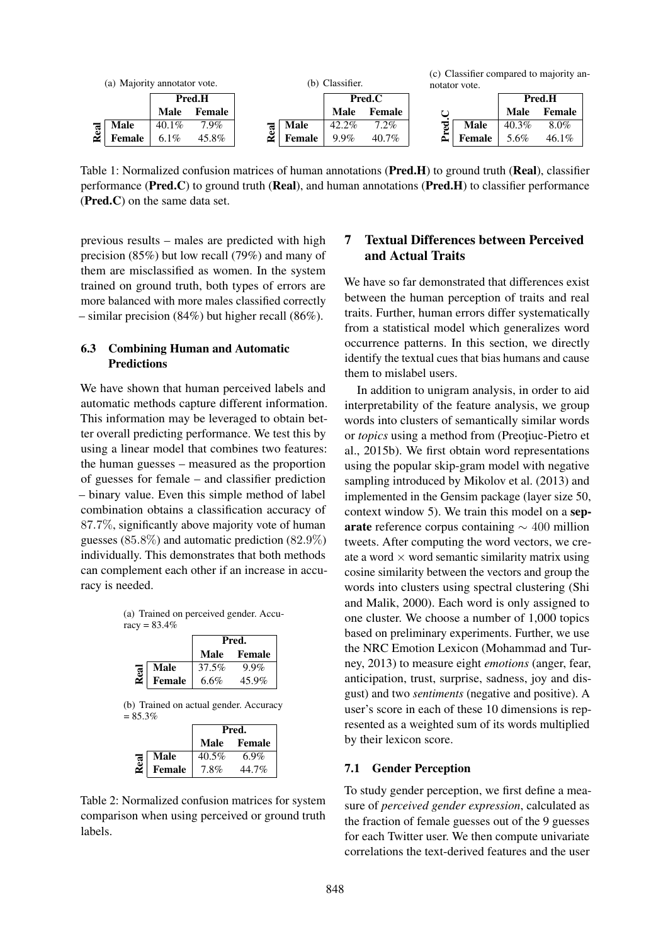

Table 1: Normalized confusion matrices of human annotations (Pred.H) to ground truth (Real), classifier performance ( $Pred.C$ ) to ground truth ( $Real$ ), and human annotations ( $Pred.H$ ) to classifier performance (Pred.C) on the same data set.

previous results – males are predicted with high precision (85%) but low recall (79%) and many of them are misclassified as women. In the system trained on ground truth, both types of errors are more balanced with more males classified correctly – similar precision (84%) but higher recall (86%).

## 6.3 Combining Human and Automatic **Predictions**

We have shown that human perceived labels and automatic methods capture different information. This information may be leveraged to obtain better overall predicting performance. We test this by using a linear model that combines two features: the human guesses – measured as the proportion of guesses for female – and classifier prediction – binary value. Even this simple method of label combination obtains a classification accuracy of 87.7%, significantly above majority vote of human guesses (85.8%) and automatic prediction (82.9%) individually. This demonstrates that both methods can complement each other if an increase in accuracy is needed.

(a) Trained on perceived gender. Accu $racy = 83.4%$ 

|      |               | Pred. |         |  |  |  |
|------|---------------|-------|---------|--|--|--|
|      |               | Male  | Female  |  |  |  |
|      | Male          | 37.5% | $9.9\%$ |  |  |  |
| Real | <b>Female</b> | 6.6%  | 45.9%   |  |  |  |



|      |             | Pred.    |        |  |  |  |  |
|------|-------------|----------|--------|--|--|--|--|
|      |             | Male     | Female |  |  |  |  |
|      | <b>Male</b> | $40.5\%$ | 6.9%   |  |  |  |  |
| Real | Female      | $7.8\%$  | 44.7%  |  |  |  |  |
|      |             |          |        |  |  |  |  |

Table 2: Normalized confusion matrices for system comparison when using perceived or ground truth labels.

# 7 Textual Differences between Perceived and Actual Traits

We have so far demonstrated that differences exist between the human perception of traits and real traits. Further, human errors differ systematically from a statistical model which generalizes word occurrence patterns. In this section, we directly identify the textual cues that bias humans and cause them to mislabel users.

In addition to unigram analysis, in order to aid interpretability of the feature analysis, we group words into clusters of semantically similar words or *topics* using a method from (Preoțiuc-Pietro et al., 2015b). We first obtain word representations using the popular skip-gram model with negative sampling introduced by Mikolov et al. (2013) and implemented in the Gensim package (layer size 50, context window 5). We train this model on a separate reference corpus containing  $\sim 400$  million tweets. After computing the word vectors, we create a word  $\times$  word semantic similarity matrix using cosine similarity between the vectors and group the words into clusters using spectral clustering (Shi and Malik, 2000). Each word is only assigned to one cluster. We choose a number of 1,000 topics based on preliminary experiments. Further, we use the NRC Emotion Lexicon (Mohammad and Turney, 2013) to measure eight *emotions* (anger, fear, anticipation, trust, surprise, sadness, joy and disgust) and two *sentiments* (negative and positive). A user's score in each of these 10 dimensions is represented as a weighted sum of its words multiplied by their lexicon score.

## 7.1 Gender Perception

To study gender perception, we first define a measure of *perceived gender expression*, calculated as the fraction of female guesses out of the 9 guesses for each Twitter user. We then compute univariate correlations the text-derived features and the user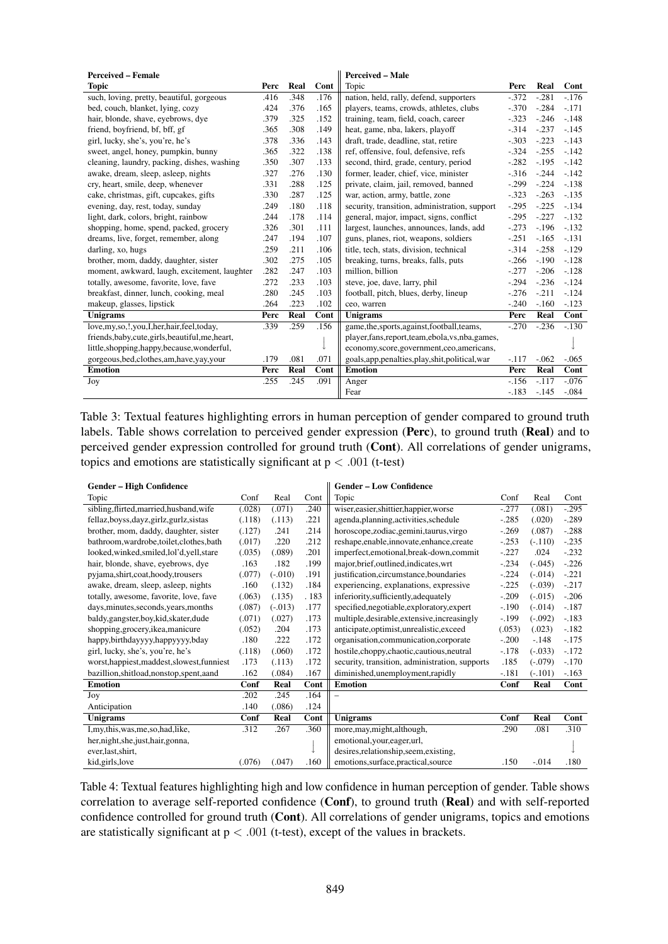| <b>Perceived – Female</b>                         |      |      |      | <b>Perceived – Male</b>                            |         |         |         |  |
|---------------------------------------------------|------|------|------|----------------------------------------------------|---------|---------|---------|--|
| <b>Topic</b>                                      | Perc | Real | Cont | Topic                                              | Perc    | Real    | Cont    |  |
| such, loving, pretty, beautiful, gorgeous         | .416 | .348 | .176 | nation, held, rally, defend, supporters            | $-372$  | $-.281$ | $-.176$ |  |
| bed, couch, blanket, lying, cozy                  | .424 | .376 | .165 | players, teams, crowds, athletes, clubs            | $-.370$ | $-.284$ | $-.171$ |  |
| hair, blonde, shave, eyebrows, dye                | .379 | .325 | .152 | training, team, field, coach, career               | $-.323$ | $-.246$ | $-.148$ |  |
| friend, boyfriend, bf, bff, gf                    | .365 | .308 | .149 | heat, game, nba, lakers, playoff                   | $-.314$ | $-.237$ | $-.145$ |  |
| girl, lucky, she's, you're, he's                  | .378 | .336 | .143 | draft, trade, deadline, stat, retire               | $-.303$ | $-.223$ | $-143$  |  |
| sweet, angel, honey, pumpkin, bunny               | .365 | .322 | .138 | ref, offensive, foul, defensive, refs              | $-.324$ | $-.255$ | $-.142$ |  |
| cleaning, laundry, packing, dishes, washing       | .350 | .307 | .133 | second, third, grade, century, period              | $-.282$ | $-.195$ | $-.142$ |  |
| awake, dream, sleep, asleep, nights               | .327 | .276 | .130 | former, leader, chief, vice, minister              | $-316$  | $-.244$ | $-.142$ |  |
| cry, heart, smile, deep, whenever                 | .331 | .288 | .125 | private, claim, jail, removed, banned              | $-.299$ | $-.224$ | $-138$  |  |
| cake, christmas, gift, cupcakes, gifts            | .330 | .287 | .125 | war, action, army, battle, zone                    | $-.323$ | $-.263$ | $-.135$ |  |
| evening, day, rest, today, sunday                 | .249 | .180 | .118 | security, transition, administration, support      | $-.295$ | $-.225$ | $-.134$ |  |
| light, dark, colors, bright, rainbow              | .244 | .178 | .114 | general, major, impact, signs, conflict            | $-.295$ | $-.227$ | $-.132$ |  |
| shopping, home, spend, packed, grocery            | .326 | .301 | .111 | largest, launches, announces, lands, add           | $-.273$ | $-.196$ | $-.132$ |  |
| dreams, live, forget, remember, along             | .247 | .194 | .107 | guns, planes, riot, weapons, soldiers              | $-.251$ | $-.165$ | $-.131$ |  |
| darling, xo, hugs                                 | .259 | .211 | .106 | title, tech, stats, division, technical            | $-314$  | $-.258$ | $-.129$ |  |
| brother, mom, daddy, daughter, sister             | .302 | .275 | .105 | breaking, turns, breaks, falls, puts               | $-266$  | $-.190$ | $-.128$ |  |
| moment, awkward, laugh, excitement, laughter      | .282 | .247 | .103 | million, billion                                   | $-.277$ | $-.206$ | $-.128$ |  |
| totally, awesome, favorite, love, fave            | .272 | .233 | .103 | steve, joe, dave, larry, phil                      | $-.294$ | $-.236$ | $-.124$ |  |
| breakfast, dinner, lunch, cooking, meal           | .280 | .245 | .103 | football, pitch, blues, derby, lineup              | $-.276$ | $-.211$ | $-.124$ |  |
| makeup, glasses, lipstick                         | .264 | .223 | .102 | ceo, warren                                        | $-.240$ | $-.160$ | $-123$  |  |
| Unigrams                                          | Perc | Real | Cont | Unigrams                                           | Perc    | Real    | Cont    |  |
| love, my, so, !, you, I, her, hair, feel, today,  | .339 | .259 | .156 | game, the, sports, against, football, teams,       | $-.270$ | $-.236$ | $-.130$ |  |
| friends, baby, cute, girls, beautiful, me, heart, |      |      |      | player, fans, report, team, ebola, vs, nba, games, |         |         |         |  |
| little, shopping, happy, because, wonderful,      |      |      |      | economy, score, government, ceo, americans,        |         |         |         |  |
| gorgeous, bed, clothes, am, have, yay, your       | .179 | .081 | .071 | goals, app, penalties, play, shit, political, war  | $-.117$ | $-.062$ | $-.065$ |  |
| <b>Emotion</b>                                    |      | Real | Cont | <b>Emotion</b>                                     | Perc    | Real    | Cont    |  |
| Joy                                               | .255 | .245 | .091 | Anger                                              | $-.156$ | $-.117$ | $-.076$ |  |
|                                                   |      |      |      | Fear                                               | $-.183$ | $-145$  | $-.084$ |  |

Table 3: Textual features highlighting errors in human perception of gender compared to ground truth labels. Table shows correlation to perceived gender expression (Perc), to ground truth (Real) and to perceived gender expression controlled for ground truth (Cont). All correlations of gender unigrams, topics and emotions are statistically significant at  $p < .001$  (t-test)

| <b>Gender – High Confidence</b>             |        |           |      | <b>Gender - Low Confidence</b>                 |         |            |         |
|---------------------------------------------|--------|-----------|------|------------------------------------------------|---------|------------|---------|
| Topic                                       | Conf   | Real      | Cont | Topic                                          | Conf    | Real       | Cont    |
| sibling, flirted, married, husband, wife    | (.028) | (.071)    | .240 | wiser, easier, shittier, happier, worse        | $-.277$ | (.081)     | $-.295$ |
| fellaz, boyss, dayz, girlz, gurlz, sistas   | (.118) | (.113)    | .221 | agenda, planning, activities, schedule         | $-.285$ | (.020)     | $-.289$ |
| brother, mom, daddy, daughter, sister       | (.127) | .241      | .214 | horoscope, zodiac, gemini, taurus, virgo       | $-.269$ | (.087)     | $-.288$ |
| bathroom, wardrobe, toilet, clothes, bath   | (.017) | .220      | .212 | reshape,enable,innovate,enhance,create         | $-.253$ | $(-.110)$  | $-.235$ |
| looked, winked, smiled, lol'd, yell, stare  | (.035) | (.089)    | .201 | imperfect, emotional, break-down, commit       | $-.227$ | .024       | $-.232$ |
| hair, blonde, shave, eyebrows, dye          | .163   | .182      | .199 | major, brief, outlined, indicates, wrt         | $-.234$ | $(-0.045)$ | $-.226$ |
| pyjama,shirt,coat,hoody,trousers            | (.077) | $(-.010)$ | .191 | justification, circumstance, boundaries        | $-.224$ | $(-.014)$  | $-.221$ |
| awake, dream, sleep, asleep, nights         | .160   | (.132)    | .184 | experiencing, explanations, expressive         | $-.225$ | $(-0.039)$ | $-.217$ |
| totally, awesome, favorite, love, fave      | (.063) | (.135)    | .183 | inferiority,sufficiently,adequately            | $-.209$ | $(-.015)$  | $-.206$ |
| days, minutes, seconds, years, months       | (.087) | $(-.013)$ | .177 | specified, negotiable, exploratory, expert     | $-.190$ | $(-.014)$  | $-.187$ |
| baldy,gangster,boy,kid,skater,dude          | (.071) | (.027)    | .173 | multiple, desirable, extensive, increasingly   | $-.199$ | $(-.092)$  | $-.183$ |
| shopping, grocery, ikea, manicure           | (.052) | .204      | .173 | anticipate, optimist, unrealistic, exceed      | (.053)  | (.023)     | $-.182$ |
| happy,birthdayyyy,happyyyy,bday             | .180   | .222      | .172 | organisation, communication, corporate         | $-.200$ | $-.148$    | $-.175$ |
| girl, lucky, she's, you're, he's            | (.118) | (.060)    | .172 | hostile, choppy, chaotic, cautious, neutral    | $-.178$ | $(-.033)$  | $-.172$ |
| worst, happiest, maddest, slowest, funniest | .173   | (.113)    | .172 | security, transition, administration, supports | .185    | $(-.079)$  | $-.170$ |
| bazillion, shitload, nonstop, spent, aand   | .162   | (.084)    | .167 | diminished, unemployment, rapidly              | $-.181$ | $(-.101)$  | $-.163$ |
| <b>Emotion</b>                              | Conf   | Real      | Cont | <b>Emotion</b>                                 | Conf    | Real       | Cont    |
| Joy                                         | .202   | .245      | .164 | $\overline{\phantom{0}}$                       |         |            |         |
| Anticipation                                | .140   | (.086)    | .124 |                                                |         |            |         |
| <b>Unigrams</b>                             | Conf   | Real      | Cont | Unigrams                                       | Conf    | Real       | Cont    |
| I, my, this, was, me, so, had, like,        | .312   | .267      | .360 | more, may, might, although,                    | .290    | .081       | .310    |
| her, night, she, just, hair, gonna,         |        |           |      | emotional, your, eager, url,                   |         |            |         |
| ever, last, shirt,                          |        |           |      | desires, relationship, seem, existing,         |         |            |         |
| kid, girls, love                            | (.076) | (.047)    | .160 | emotions, surface, practical, source           | .150    | $-.014$    | .180    |

Table 4: Textual features highlighting high and low confidence in human perception of gender. Table shows correlation to average self-reported confidence (Conf), to ground truth (Real) and with self-reported confidence controlled for ground truth (Cont). All correlations of gender unigrams, topics and emotions are statistically significant at  $p < .001$  (t-test), except of the values in brackets.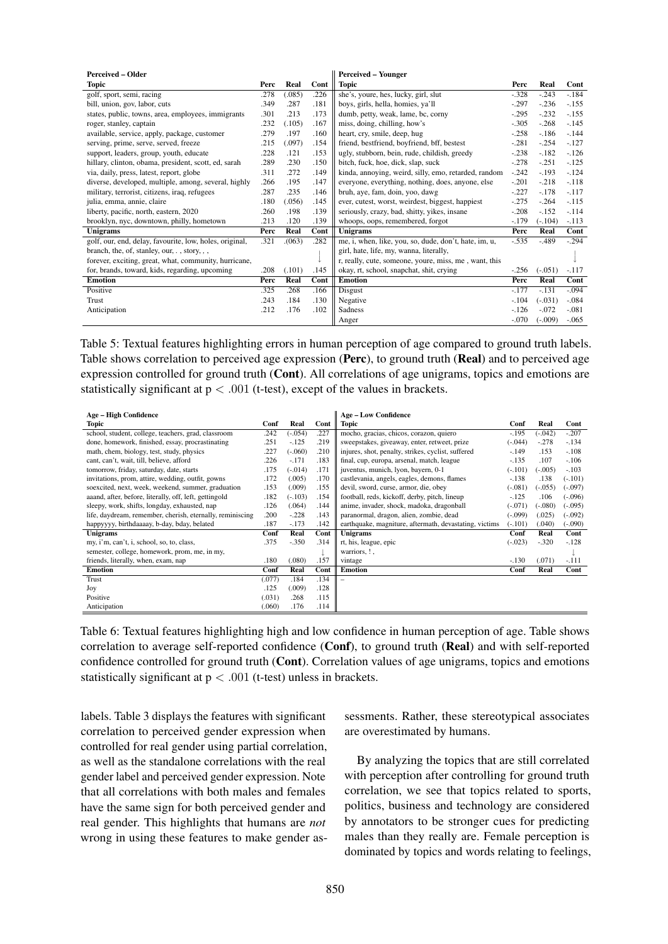| <b>Perceived - Older</b>                                |      |        |      | <b>Perceived - Younger</b>                            |         |            |         |
|---------------------------------------------------------|------|--------|------|-------------------------------------------------------|---------|------------|---------|
| Topic                                                   | Perc | Real   | Cont | Topic                                                 | Perc    | Real       | Cont    |
| golf, sport, semi, racing                               | .278 | (.085) | .226 | she's, youre, hes, lucky, girl, slut                  | $-.328$ | $-.243$    | $-.184$ |
| bill, union, gov, labor, cuts                           | .349 | .287   | .181 | boys, girls, hella, homies, ya'll                     | $-.297$ | $-.236$    | $-.155$ |
| states, public, towns, area, employees, immigrants      | .301 | .213   | .173 | dumb, petty, weak, lame, bc, corny                    | $-.295$ | $-.232$    | $-.155$ |
| roger, stanley, captain                                 | .232 | (.105) | .167 | miss, doing, chilling, how's                          | $-.305$ | $-.268$    | $-.145$ |
| available, service, apply, package, customer            | .279 | .197   | .160 | heart, cry, smile, deep, hug                          | $-.258$ | $-.186$    | $-.144$ |
| serving, prime, serve, served, freeze                   | .215 | (.097) | .154 | friend, bestfriend, boyfriend, bff, bestest           | $-.281$ | $-.254$    | $-.127$ |
| support, leaders, group, youth, educate                 | .228 | .121   | .153 | ugly, stubborn, bein, rude, childish, greedy          | $-.238$ | $-.182$    | $-.126$ |
| hillary, clinton, obama, president, scott, ed, sarah    | .289 | .230   | .150 | bitch, fuck, hoe, dick, slap, suck                    | $-.278$ | $-.251$    | $-.125$ |
| via, daily, press, latest, report, globe                | .311 | .272   | .149 | kinda, annoying, weird, silly, emo, retarded, random  | $-.242$ | $-.193$    | $-.124$ |
| diverse, developed, multiple, among, several, highly    | .266 | .195   | .147 | everyone, everything, nothing, does, anyone, else     | $-.201$ | $-.218$    | $-.118$ |
| military, terrorist, citizens, iraq, refugees           | .287 | .235   | .146 | bruh, aye, fam, doin, yoo, dawg                       | $-.227$ | $-.178$    | $-.117$ |
| julia, emma, annie, claire                              | .180 | (.056) | .145 | ever, cutest, worst, weirdest, biggest, happiest      | $-.275$ | $-.264$    | $-115$  |
| liberty, pacific, north, eastern, 2020                  | .260 | .198   | .139 | seriously, crazy, bad, shitty, yikes, insane          | $-.208$ | $-.152$    | $-.114$ |
| brooklyn, nyc, downtown, philly, hometown               | .213 | .120   | .139 | whoops, oops, remembered, forgot                      | $-.179$ | $(-.104)$  | $-.113$ |
| Unigrams                                                |      | Real   | Cont | Unigrams                                              | Perc    | Real       | Cont    |
| golf, our, end, delay, favourite, low, holes, original, | .321 | (063)  | .282 | me, i, when, like, you, so, dude, don't, hate, im, u, | $-.535$ | $-.489$    | $-.294$ |
| branch, the, of, stanley, our, ., story, ,,             |      |        |      | girl, hate, life, my, wanna, literally,               |         |            |         |
| forever, exciting, great, what, community, hurricane,   |      |        |      | r, really, cute, someone, youre, miss, me, want, this |         |            |         |
| for, brands, toward, kids, regarding, upcoming          | .208 | (.101) | .145 | okay, rt, school, snapchat, shit, crying              | $-.256$ | $(-.051)$  | $-.117$ |
| <b>Emotion</b>                                          | Perc | Real   | Cont | <b>Emotion</b>                                        | Perc    | Real       | Cont    |
| Positive                                                | .325 | .268   | .166 | Disgust                                               | $-.177$ | $-.131$    | $-.094$ |
| Trust                                                   | .243 | .184   | .130 | Negative                                              | $-.104$ | $(-0.031)$ | $-.084$ |
| Anticipation                                            | .212 | .176   | .102 | Sadness                                               | $-.126$ | $-.072$    | $-.081$ |
|                                                         |      |        |      | Anger                                                 | $-.070$ | $(-.009)$  | $-.065$ |

Table 5: Textual features highlighting errors in human perception of age compared to ground truth labels. Table shows correlation to perceived age expression (Perc), to ground truth (Real) and to perceived age expression controlled for ground truth (Cont). All correlations of age unigrams, topics and emotions are statistically significant at  $p < .001$  (t-test), except of the values in brackets.

| <b>Age - High Confidence</b>                              |        |           |      | <b>Age - Low Confidence</b>                            |           |           |           |
|-----------------------------------------------------------|--------|-----------|------|--------------------------------------------------------|-----------|-----------|-----------|
| Topic                                                     |        | Real      | Cont | <b>Topic</b>                                           | Conf      | Real      | Cont      |
| school, student, college, teachers, grad, classroom       | .242   | $(-.054)$ | .227 | mocho, gracias, chicos, corazon, quiero                | $-.195$   | $(-.042)$ | $-.207$   |
| done, homework, finished, essay, procrastinating          | .251   | $-.125$   | .219 | sweepstakes, giveaway, enter, retweet, prize           | $(-.044)$ | $-.278$   | $-.134$   |
| math, chem, biology, test, study, physics                 | .227   | $(-.060)$ | .210 | injures, shot, penalty, strikes, cyclist, suffered     | $-.149$   | .153      | $-.108$   |
| cant, can't, wait, till, believe, afford                  | .226   | $-.171$   | .183 | final, cup, europa, arsenal, match, league             | $-.135$   | .107      | $-.106$   |
| tomorrow, friday, saturday, date, starts                  | .175   | $(-.014)$ | .171 | juventus, munich, lyon, bayern, 0-1                    | $(-.101)$ | $(-.005)$ | $-.103$   |
| invitations, prom, attire, wedding, outfit, gowns         | .172   | (.005)    | .170 | castlevania, angels, eagles, demons, flames            | $-.138$   | .138      | $(-.101)$ |
| soexcited, next, week, weekend, summer, graduation        | .153   | (.009)    | .155 | devil, sword, curse, armor, die, obey                  | $(-.081)$ | $(-.055)$ | $(-.097)$ |
| aaand, after, before, literally, off, left, gettingold    | .182   | $(-.103)$ | .154 | football, reds, kickoff, derby, pitch, lineup          | $-.125$   | .106      | $(-.096)$ |
| sleepy, work, shifts, longday, exhausted, nap             | .126   | (.064)    | .144 | anime, invader, shock, madoka, dragonball              | $(-.071)$ | $(-.080)$ | $(-.095)$ |
| life, daydream, remember, cherish, eternally, reminiscing | .200   | $-.228$   | .143 | paranormal, dragon, alien, zombie, dead                | $(-.099)$ | (.025)    | $(-.092)$ |
| happyyyy, birthdaaaay, b-day, bday, belated               | .187   | $-.173$   | .142 | earthquake, magniture, aftermath, devastating, victims | $(-.101)$ | (.040)    | $(-.090)$ |
| Unigrams                                                  |        | Real      | Cont | Unigrams                                               | Conf      | Real      | Cont      |
| my, i'm, can't, i, school, so, to, class,                 | .375   | $-.350$   | .314 | rt, his, league, epic                                  | $(-.023)$ | $-.320$   | $-.128$   |
| semester, college, homework, prom, me, in my,             |        |           |      | warriors, !,                                           |           |           |           |
| friends, literally, when, exam, nap                       | .180   | (.080)    | .157 | vintage                                                | $-.130$   | (.071)    | $-.111$   |
| <b>Emotion</b>                                            | Conf   | Real      | Cont | <b>Emotion</b>                                         | Conf      | Real      | Cont      |
| Trust                                                     | (.077) | .184      | .134 |                                                        |           |           |           |
| Joy                                                       | .125   | (.009)    | .128 |                                                        |           |           |           |
| Positive                                                  | (.031) | .268      | .115 |                                                        |           |           |           |
| Anticipation                                              | (.060) | .176      | .114 |                                                        |           |           |           |

Table 6: Textual features highlighting high and low confidence in human perception of age. Table shows correlation to average self-reported confidence (Conf), to ground truth (Real) and with self-reported confidence controlled for ground truth (Cont). Correlation values of age unigrams, topics and emotions statistically significant at  $p < .001$  (t-test) unless in brackets.

labels. Table 3 displays the features with significant correlation to perceived gender expression when controlled for real gender using partial correlation, as well as the standalone correlations with the real gender label and perceived gender expression. Note that all correlations with both males and females have the same sign for both perceived gender and real gender. This highlights that humans are *not* wrong in using these features to make gender assessments. Rather, these stereotypical associates are overestimated by humans.

By analyzing the topics that are still correlated with perception after controlling for ground truth correlation, we see that topics related to sports, politics, business and technology are considered by annotators to be stronger cues for predicting males than they really are. Female perception is dominated by topics and words relating to feelings,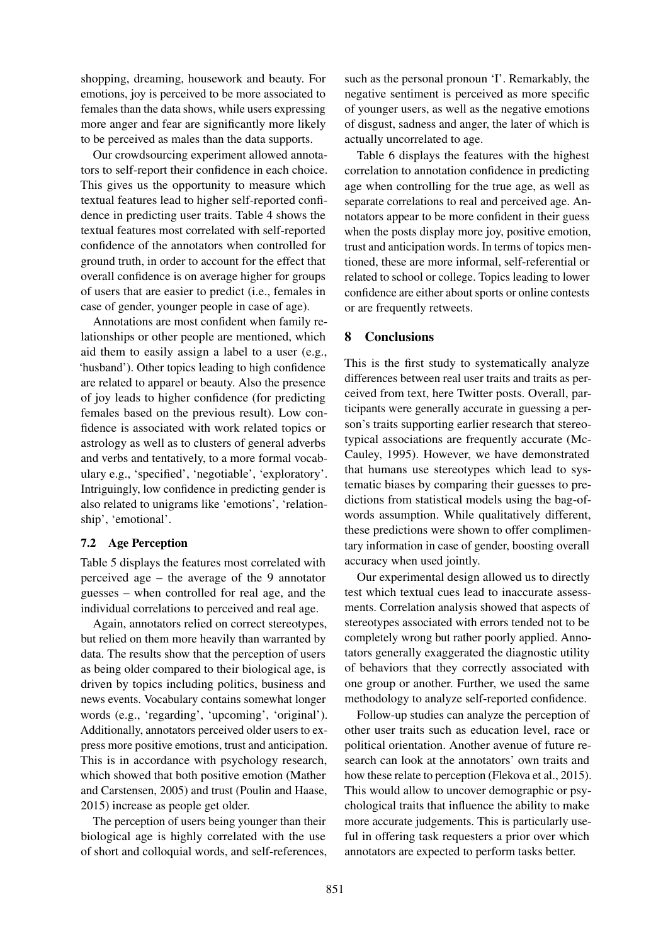shopping, dreaming, housework and beauty. For emotions, joy is perceived to be more associated to females than the data shows, while users expressing more anger and fear are significantly more likely to be perceived as males than the data supports.

Our crowdsourcing experiment allowed annotators to self-report their confidence in each choice. This gives us the opportunity to measure which textual features lead to higher self-reported confidence in predicting user traits. Table 4 shows the textual features most correlated with self-reported confidence of the annotators when controlled for ground truth, in order to account for the effect that overall confidence is on average higher for groups of users that are easier to predict (i.e., females in case of gender, younger people in case of age).

Annotations are most confident when family relationships or other people are mentioned, which aid them to easily assign a label to a user (e.g., 'husband'). Other topics leading to high confidence are related to apparel or beauty. Also the presence of joy leads to higher confidence (for predicting females based on the previous result). Low confidence is associated with work related topics or astrology as well as to clusters of general adverbs and verbs and tentatively, to a more formal vocabulary e.g., 'specified', 'negotiable', 'exploratory'. Intriguingly, low confidence in predicting gender is also related to unigrams like 'emotions', 'relationship', 'emotional'.

#### 7.2 Age Perception

Table 5 displays the features most correlated with perceived age – the average of the 9 annotator guesses – when controlled for real age, and the individual correlations to perceived and real age.

Again, annotators relied on correct stereotypes, but relied on them more heavily than warranted by data. The results show that the perception of users as being older compared to their biological age, is driven by topics including politics, business and news events. Vocabulary contains somewhat longer words (e.g., 'regarding', 'upcoming', 'original'). Additionally, annotators perceived older users to express more positive emotions, trust and anticipation. This is in accordance with psychology research, which showed that both positive emotion (Mather and Carstensen, 2005) and trust (Poulin and Haase, 2015) increase as people get older.

The perception of users being younger than their biological age is highly correlated with the use of short and colloquial words, and self-references, such as the personal pronoun 'I'. Remarkably, the negative sentiment is perceived as more specific of younger users, as well as the negative emotions of disgust, sadness and anger, the later of which is actually uncorrelated to age.

Table 6 displays the features with the highest correlation to annotation confidence in predicting age when controlling for the true age, as well as separate correlations to real and perceived age. Annotators appear to be more confident in their guess when the posts display more joy, positive emotion, trust and anticipation words. In terms of topics mentioned, these are more informal, self-referential or related to school or college. Topics leading to lower confidence are either about sports or online contests or are frequently retweets.

## 8 Conclusions

This is the first study to systematically analyze differences between real user traits and traits as perceived from text, here Twitter posts. Overall, participants were generally accurate in guessing a person's traits supporting earlier research that stereotypical associations are frequently accurate (Mc-Cauley, 1995). However, we have demonstrated that humans use stereotypes which lead to systematic biases by comparing their guesses to predictions from statistical models using the bag-ofwords assumption. While qualitatively different, these predictions were shown to offer complimentary information in case of gender, boosting overall accuracy when used jointly.

Our experimental design allowed us to directly test which textual cues lead to inaccurate assessments. Correlation analysis showed that aspects of stereotypes associated with errors tended not to be completely wrong but rather poorly applied. Annotators generally exaggerated the diagnostic utility of behaviors that they correctly associated with one group or another. Further, we used the same methodology to analyze self-reported confidence.

Follow-up studies can analyze the perception of other user traits such as education level, race or political orientation. Another avenue of future research can look at the annotators' own traits and how these relate to perception (Flekova et al., 2015). This would allow to uncover demographic or psychological traits that influence the ability to make more accurate judgements. This is particularly useful in offering task requesters a prior over which annotators are expected to perform tasks better.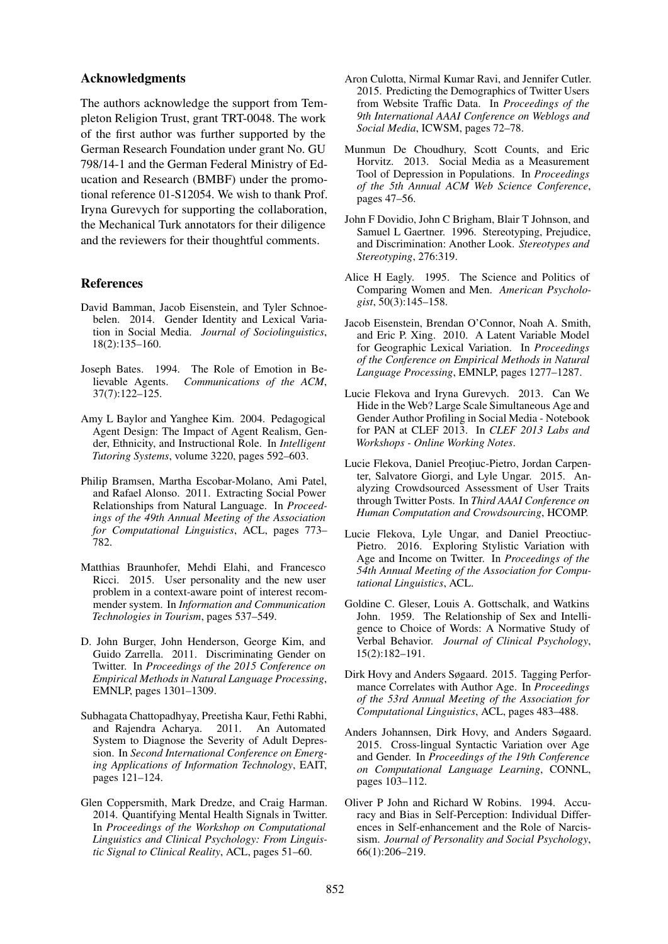#### Acknowledgments

The authors acknowledge the support from Templeton Religion Trust, grant TRT-0048. The work of the first author was further supported by the German Research Foundation under grant No. GU 798/14-1 and the German Federal Ministry of Education and Research (BMBF) under the promotional reference 01-S12054. We wish to thank Prof. Iryna Gurevych for supporting the collaboration, the Mechanical Turk annotators for their diligence and the reviewers for their thoughtful comments.

#### References

- David Bamman, Jacob Eisenstein, and Tyler Schnoebelen. 2014. Gender Identity and Lexical Variation in Social Media. *Journal of Sociolinguistics*, 18(2):135–160.
- Joseph Bates. 1994. The Role of Emotion in Believable Agents. Communications of the ACM, Communications of the ACM, 37(7):122–125.
- Amy L Baylor and Yanghee Kim. 2004. Pedagogical Agent Design: The Impact of Agent Realism, Gender, Ethnicity, and Instructional Role. In *Intelligent Tutoring Systems*, volume 3220, pages 592–603.
- Philip Bramsen, Martha Escobar-Molano, Ami Patel, and Rafael Alonso. 2011. Extracting Social Power Relationships from Natural Language. In *Proceedings of the 49th Annual Meeting of the Association for Computational Linguistics*, ACL, pages 773– 782.
- Matthias Braunhofer, Mehdi Elahi, and Francesco Ricci. 2015. User personality and the new user problem in a context-aware point of interest recommender system. In *Information and Communication Technologies in Tourism*, pages 537–549.
- D. John Burger, John Henderson, George Kim, and Guido Zarrella. 2011. Discriminating Gender on Twitter. In *Proceedings of the 2015 Conference on Empirical Methods in Natural Language Processing*, EMNLP, pages 1301–1309.
- Subhagata Chattopadhyay, Preetisha Kaur, Fethi Rabhi, and Rajendra Acharya. 2011. An Automated System to Diagnose the Severity of Adult Depression. In *Second International Conference on Emerging Applications of Information Technology*, EAIT, pages 121–124.
- Glen Coppersmith, Mark Dredze, and Craig Harman. 2014. Quantifying Mental Health Signals in Twitter. In *Proceedings of the Workshop on Computational Linguistics and Clinical Psychology: From Linguistic Signal to Clinical Reality*, ACL, pages 51–60.
- Aron Culotta, Nirmal Kumar Ravi, and Jennifer Cutler. 2015. Predicting the Demographics of Twitter Users from Website Traffic Data. In *Proceedings of the 9th International AAAI Conference on Weblogs and Social Media*, ICWSM, pages 72–78.
- Munmun De Choudhury, Scott Counts, and Eric Horvitz. 2013. Social Media as a Measurement Tool of Depression in Populations. In *Proceedings of the 5th Annual ACM Web Science Conference*, pages 47–56.
- John F Dovidio, John C Brigham, Blair T Johnson, and Samuel L Gaertner. 1996. Stereotyping, Prejudice, and Discrimination: Another Look. *Stereotypes and Stereotyping*, 276:319.
- Alice H Eagly. 1995. The Science and Politics of Comparing Women and Men. *American Psychologist*, 50(3):145–158.
- Jacob Eisenstein, Brendan O'Connor, Noah A. Smith, and Eric P. Xing. 2010. A Latent Variable Model for Geographic Lexical Variation. In *Proceedings of the Conference on Empirical Methods in Natural Language Processing*, EMNLP, pages 1277–1287.
- Lucie Flekova and Iryna Gurevych. 2013. Can We Hide in the Web? Large Scale Simultaneous Age and Gender Author Profiling in Social Media - Notebook for PAN at CLEF 2013. In *CLEF 2013 Labs and Workshops - Online Working Notes*.
- Lucie Flekova, Daniel Preoțiuc-Pietro, Jordan Carpenter, Salvatore Giorgi, and Lyle Ungar. 2015. Analyzing Crowdsourced Assessment of User Traits through Twitter Posts. In *Third AAAI Conference on Human Computation and Crowdsourcing*, HCOMP.
- Lucie Flekova, Lyle Ungar, and Daniel Preoctiuc-Pietro. 2016. Exploring Stylistic Variation with Age and Income on Twitter. In *Proceedings of the 54th Annual Meeting of the Association for Computational Linguistics*, ACL.
- Goldine C. Gleser, Louis A. Gottschalk, and Watkins John. 1959. The Relationship of Sex and Intelligence to Choice of Words: A Normative Study of Verbal Behavior. *Journal of Clinical Psychology*, 15(2):182–191.
- Dirk Hovy and Anders Søgaard. 2015. Tagging Performance Correlates with Author Age. In *Proceedings of the 53rd Annual Meeting of the Association for Computational Linguistics*, ACL, pages 483–488.
- Anders Johannsen, Dirk Hovy, and Anders Søgaard. 2015. Cross-lingual Syntactic Variation over Age and Gender. In *Proceedings of the 19th Conference on Computational Language Learning*, CONNL, pages 103–112.
- Oliver P John and Richard W Robins. 1994. Accuracy and Bias in Self-Perception: Individual Differences in Self-enhancement and the Role of Narcissism. *Journal of Personality and Social Psychology*, 66(1):206–219.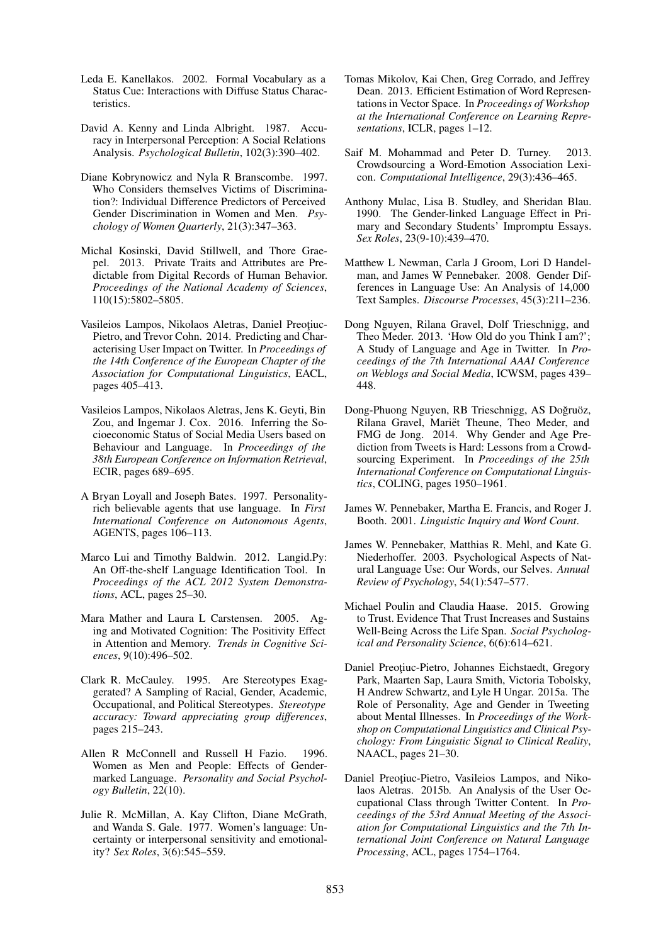- Leda E. Kanellakos. 2002. Formal Vocabulary as a Status Cue: Interactions with Diffuse Status Characteristics.
- David A. Kenny and Linda Albright. 1987. Accuracy in Interpersonal Perception: A Social Relations Analysis. *Psychological Bulletin*, 102(3):390–402.
- Diane Kobrynowicz and Nyla R Branscombe. 1997. Who Considers themselves Victims of Discrimination?: Individual Difference Predictors of Perceived Gender Discrimination in Women and Men. *Psychology of Women Quarterly*, 21(3):347–363.
- Michal Kosinski, David Stillwell, and Thore Graepel. 2013. Private Traits and Attributes are Predictable from Digital Records of Human Behavior. *Proceedings of the National Academy of Sciences*, 110(15):5802–5805.
- Vasileios Lampos, Nikolaos Aletras, Daniel Preotiuc-Pietro, and Trevor Cohn. 2014. Predicting and Characterising User Impact on Twitter. In *Proceedings of the 14th Conference of the European Chapter of the Association for Computational Linguistics*, EACL, pages 405–413.
- Vasileios Lampos, Nikolaos Aletras, Jens K. Geyti, Bin Zou, and Ingemar J. Cox. 2016. Inferring the Socioeconomic Status of Social Media Users based on Behaviour and Language. In *Proceedings of the 38th European Conference on Information Retrieval*, ECIR, pages 689–695.
- A Bryan Loyall and Joseph Bates. 1997. Personalityrich believable agents that use language. In *First International Conference on Autonomous Agents*, AGENTS, pages 106–113.
- Marco Lui and Timothy Baldwin. 2012. Langid.Py: An Off-the-shelf Language Identification Tool. In *Proceedings of the ACL 2012 System Demonstrations*, ACL, pages 25–30.
- Mara Mather and Laura L Carstensen. 2005. Aging and Motivated Cognition: The Positivity Effect in Attention and Memory. *Trends in Cognitive Sciences*, 9(10):496–502.
- Clark R. McCauley. 1995. Are Stereotypes Exaggerated? A Sampling of Racial, Gender, Academic, Occupational, and Political Stereotypes. *Stereotype accuracy: Toward appreciating group differences*, pages 215–243.
- Allen R McConnell and Russell H Fazio. 1996. Women as Men and People: Effects of Gendermarked Language. *Personality and Social Psychology Bulletin*, 22(10).
- Julie R. McMillan, A. Kay Clifton, Diane McGrath, and Wanda S. Gale. 1977. Women's language: Uncertainty or interpersonal sensitivity and emotionality? *Sex Roles*, 3(6):545–559.
- Tomas Mikolov, Kai Chen, Greg Corrado, and Jeffrey Dean. 2013. Efficient Estimation of Word Representations in Vector Space. In *Proceedings of Workshop at the International Conference on Learning Representations*, ICLR, pages 1–12.
- Saif M. Mohammad and Peter D. Turney. 2013. Crowdsourcing a Word-Emotion Association Lexicon. *Computational Intelligence*, 29(3):436–465.
- Anthony Mulac, Lisa B. Studley, and Sheridan Blau. 1990. The Gender-linked Language Effect in Primary and Secondary Students' Impromptu Essays. *Sex Roles*, 23(9-10):439–470.
- Matthew L Newman, Carla J Groom, Lori D Handelman, and James W Pennebaker. 2008. Gender Differences in Language Use: An Analysis of 14,000 Text Samples. *Discourse Processes*, 45(3):211–236.
- Dong Nguyen, Rilana Gravel, Dolf Trieschnigg, and Theo Meder. 2013. 'How Old do you Think I am?'; A Study of Language and Age in Twitter. In *Proceedings of the 7th International AAAI Conference on Weblogs and Social Media*, ICWSM, pages 439– 448.
- Dong-Phuong Nguyen, RB Trieschnigg, AS Doğruöz, Rilana Gravel, Mariet Theune, Theo Meder, and ¨ FMG de Jong. 2014. Why Gender and Age Prediction from Tweets is Hard: Lessons from a Crowdsourcing Experiment. In *Proceedings of the 25th International Conference on Computational Linguistics*, COLING, pages 1950–1961.
- James W. Pennebaker, Martha E. Francis, and Roger J. Booth. 2001. *Linguistic Inquiry and Word Count*.
- James W. Pennebaker, Matthias R. Mehl, and Kate G. Niederhoffer. 2003. Psychological Aspects of Natural Language Use: Our Words, our Selves. *Annual Review of Psychology*, 54(1):547–577.
- Michael Poulin and Claudia Haase. 2015. Growing to Trust. Evidence That Trust Increases and Sustains Well-Being Across the Life Span. *Social Psychological and Personality Science*, 6(6):614–621.
- Daniel Preoțiuc-Pietro, Johannes Eichstaedt, Gregory Park, Maarten Sap, Laura Smith, Victoria Tobolsky, H Andrew Schwartz, and Lyle H Ungar. 2015a. The Role of Personality, Age and Gender in Tweeting about Mental Illnesses. In *Proceedings of the Workshop on Computational Linguistics and Clinical Psychology: From Linguistic Signal to Clinical Reality*, NAACL, pages 21–30.
- Daniel Preoțiuc-Pietro, Vasileios Lampos, and Nikolaos Aletras. 2015b. An Analysis of the User Occupational Class through Twitter Content. In *Proceedings of the 53rd Annual Meeting of the Association for Computational Linguistics and the 7th International Joint Conference on Natural Language Processing*, ACL, pages 1754–1764.